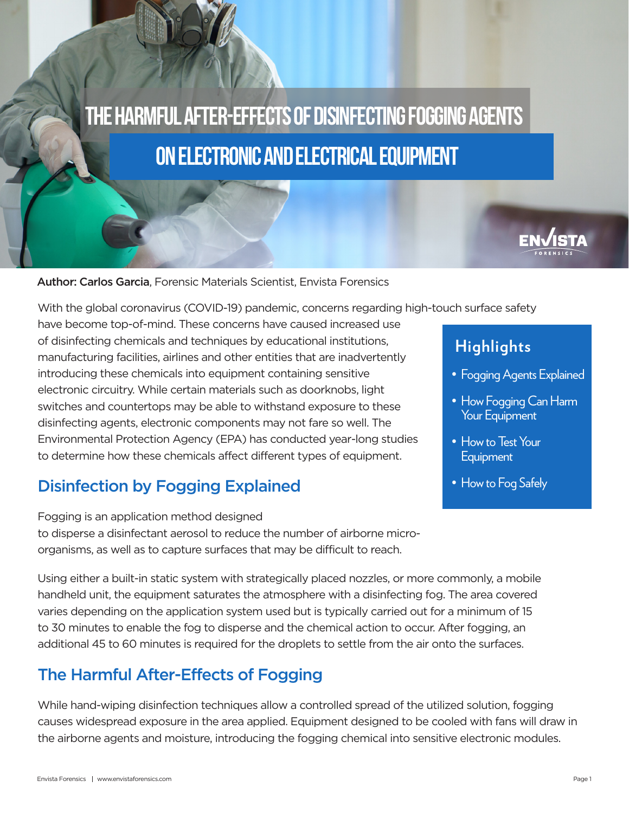# The harmful after-effects OF DISINFECTING FOGGING AGENTS on electronic and electrical equipment



Author: Carlos Garcia, Forensic Materials Scientist, Envista Forensics

With the global coronavirus (COVID-19) pandemic, concerns regarding high-touch surface safety

have become top-of-mind. These concerns have caused increased use of disinfecting chemicals and techniques by educational institutions, manufacturing facilities, airlines and other entities that are inadvertently introducing these chemicals into equipment containing sensitive electronic circuitry. While certain materials such as doorknobs, light switches and countertops may be able to withstand exposure to these disinfecting agents, electronic components may not fare so well. The Environmental Protection Agency (EPA) has conducted year-long studies to determine how these chemicals affect different types of equipment.

## Disinfection by Fogging Explained

Fogging is an application method designed to disperse a disinfectant aerosol to reduce the number of airborne microorganisms, as well as to capture surfaces that may be difficult to reach.

Using either a built-in static system with strategically placed nozzles, or more commonly, a mobile handheld unit, the equipment saturates the atmosphere with a disinfecting fog. The area covered varies depending on the application system used but is typically carried out for a minimum of 15 to 30 minutes to enable the fog to disperse and the chemical action to occur. After fogging, an additional 45 to 60 minutes is required for the droplets to settle from the air onto the surfaces.

## The Harmful After-Effects of Fogging

While hand-wiping disinfection techniques allow a controlled spread of the utilized solution, fogging causes widespread exposure in the area applied. Equipment designed to be cooled with fans will draw in the airborne agents and moisture, introducing the fogging chemical into sensitive electronic modules.

## **Highlights**

- Fogging Agents Explained
- How Fogging Can Harm Your Equipment
- How to Test Your **Equipment**
- How to Fog Safely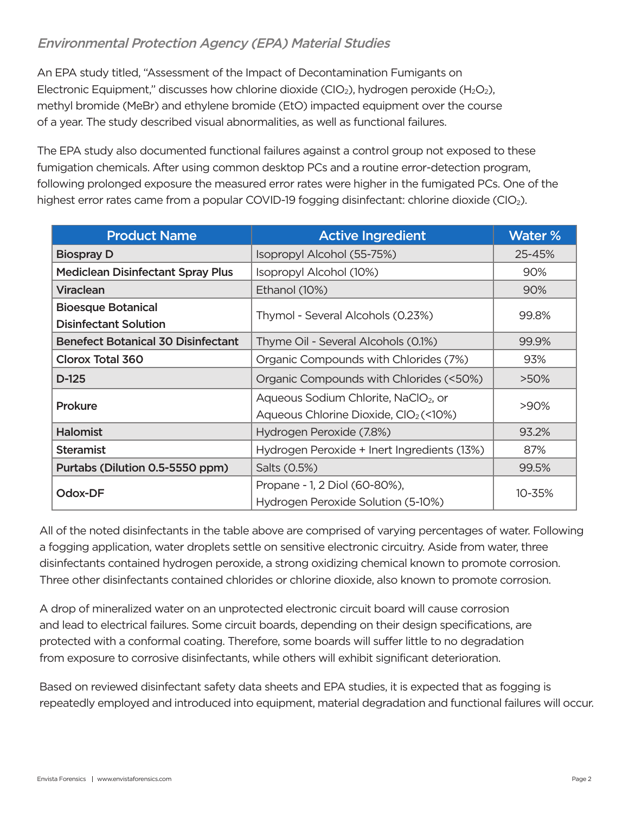#### Environmental Protection Agency (EPA) Material Studies

An EPA study titled, "Assessment of the Impact of Decontamination Fumigants on Electronic Equipment," discusses how chlorine dioxide (CIO<sub>2</sub>), hydrogen peroxide (H<sub>2</sub>O<sub>2</sub>), methyl bromide (MeBr) and ethylene bromide (EtO) impacted equipment over the course of a year. The study described visual abnormalities, as well as functional failures.

The EPA study also documented functional failures against a control group not exposed to these fumigation chemicals. After using common desktop PCs and a routine error-detection program, following prolonged exposure the measured error rates were higher in the fumigated PCs. One of the highest error rates came from a popular COVID-19 fogging disinfectant: chlorine dioxide (CIO<sub>2</sub>).

| <b>Product Name</b>                                       | <b>Active Ingredient</b>                                                                              | <b>Water %</b> |
|-----------------------------------------------------------|-------------------------------------------------------------------------------------------------------|----------------|
| <b>Biospray D</b>                                         | Isopropyl Alcohol (55-75%)                                                                            | 25-45%         |
| <b>Mediclean Disinfectant Spray Plus</b>                  | Isopropyl Alcohol (10%)                                                                               | 90%            |
| <b>Viraclean</b>                                          | Ethanol (10%)                                                                                         | 90%            |
| <b>Bioesque Botanical</b><br><b>Disinfectant Solution</b> | Thymol - Several Alcohols (0.23%)                                                                     | 99.8%          |
| <b>Benefect Botanical 30 Disinfectant</b>                 | Thyme Oil - Several Alcohols (0.1%)                                                                   | 99.9%          |
| Clorox Total 360                                          | Organic Compounds with Chlorides (7%)                                                                 | 93%            |
| $D-125$                                                   | Organic Compounds with Chlorides (<50%)                                                               | $>50\%$        |
| Prokure                                                   | Aqueous Sodium Chlorite, NaClO <sub>2</sub> , or<br>Aqueous Chlorine Dioxide, ClO <sub>2</sub> (<10%) | >90%           |
| <b>Halomist</b>                                           | Hydrogen Peroxide (7.8%)                                                                              | 93.2%          |
| <b>Steramist</b>                                          | Hydrogen Peroxide + Inert Ingredients (13%)                                                           | 87%            |
| Purtabs (Dilution 0.5-5550 ppm)                           | Salts (0.5%)                                                                                          | 99.5%          |
| Odox-DF                                                   | Propane - 1, 2 Diol (60-80%),<br>Hydrogen Peroxide Solution (5-10%)                                   | 10-35%         |

All of the noted disinfectants in the table above are comprised of varying percentages of water. Following a fogging application, water droplets settle on sensitive electronic circuitry. Aside from water, three disinfectants contained hydrogen peroxide, a strong oxidizing chemical known to promote corrosion. Three other disinfectants contained chlorides or chlorine dioxide, also known to promote corrosion.

A drop of mineralized water on an unprotected electronic circuit board will cause corrosion and lead to electrical failures. Some circuit boards, depending on their design specifications, are protected with a conformal coating. Therefore, some boards will suffer little to no degradation from exposure to corrosive disinfectants, while others will exhibit significant deterioration.

Based on reviewed disinfectant safety data sheets and EPA studies, it is expected that as fogging is repeatedly employed and introduced into equipment, material degradation and functional failures will occur.